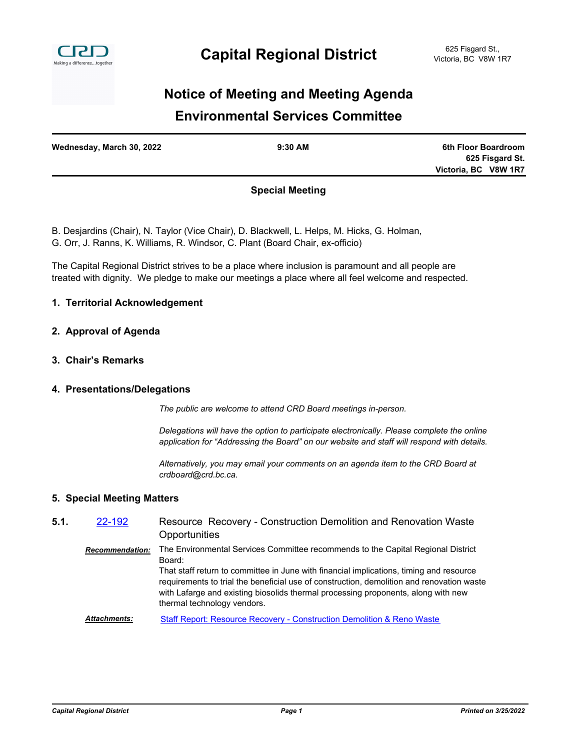

# **Environmental Services Committee Notice of Meeting and Meeting Agenda**

| Wednesday, March 30, 2022 | $9:30$ AM | 6th Floor Boardroom  |
|---------------------------|-----------|----------------------|
|                           |           | 625 Fisgard St.      |
|                           |           | Victoria, BC V8W 1R7 |
|                           |           |                      |

# **Special Meeting**

B. Desjardins (Chair), N. Taylor (Vice Chair), D. Blackwell, L. Helps, M. Hicks, G. Holman, G. Orr, J. Ranns, K. Williams, R. Windsor, C. Plant (Board Chair, ex-officio)

The Capital Regional District strives to be a place where inclusion is paramount and all people are treated with dignity. We pledge to make our meetings a place where all feel welcome and respected.

#### **1. Territorial Acknowledgement**

#### **2. Approval of Agenda**

**3. Chair's Remarks**

#### **4. Presentations/Delegations**

*The public are welcome to attend CRD Board meetings in-person.*

*Delegations will have the option to participate electronically. Please complete the online application for "Addressing the Board" on our website and staff will respond with details.*

*Alternatively, you may email your comments on an agenda item to the CRD Board at crdboard@crd.bc.ca.*

#### **5. Special Meeting Matters**

#### Resource Recovery - Construction Demolition and Renovation Waste **Opportunities 5.1.** [22-192](http://crd.ca.legistar.com/gateway.aspx?m=l&id=/matter.aspx?key=9048) *Recommendation:* The Environmental Services Committee recommends to the Capital Regional District Board: That staff return to committee in June with financial implications, timing and resource requirements to trial the beneficial use of construction, demolition and renovation waste with Lafarge and existing biosolids thermal processing proponents, along with new thermal technology vendors. *Attachments:* [Staff Report: Resource Recovery - Construction Demolition & Reno Waste](http://crd.ca.legistar.com/gateway.aspx?M=F&ID=dd4c219a-186a-4972-97b8-1f72a975919c.pdf)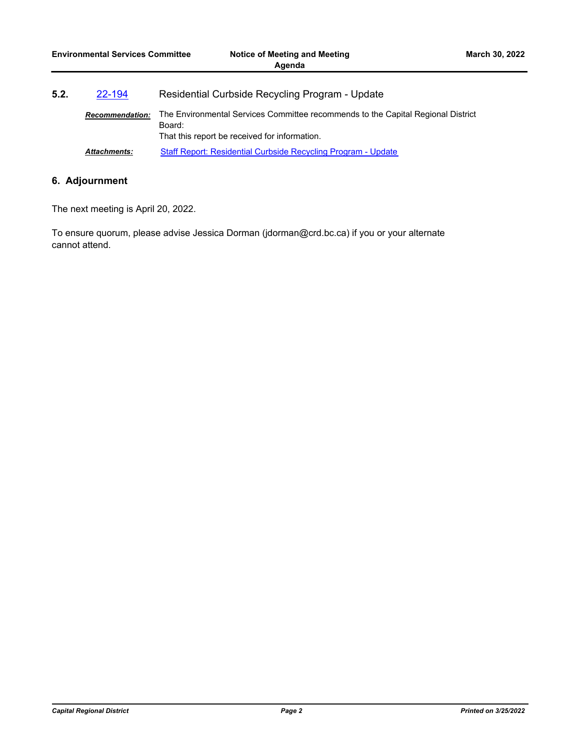| 5.2. | 22-194                 | Residential Curbside Recycling Program - Update                                                                                             |  |
|------|------------------------|---------------------------------------------------------------------------------------------------------------------------------------------|--|
|      | <b>Recommendation:</b> | The Environmental Services Committee recommends to the Capital Regional District<br>Board:<br>That this report be received for information. |  |
|      | <b>Attachments:</b>    | Staff Report: Residential Curbside Recycling Program - Update                                                                               |  |

# **6. Adjournment**

The next meeting is April 20, 2022.

To ensure quorum, please advise Jessica Dorman (jdorman@crd.bc.ca) if you or your alternate cannot attend.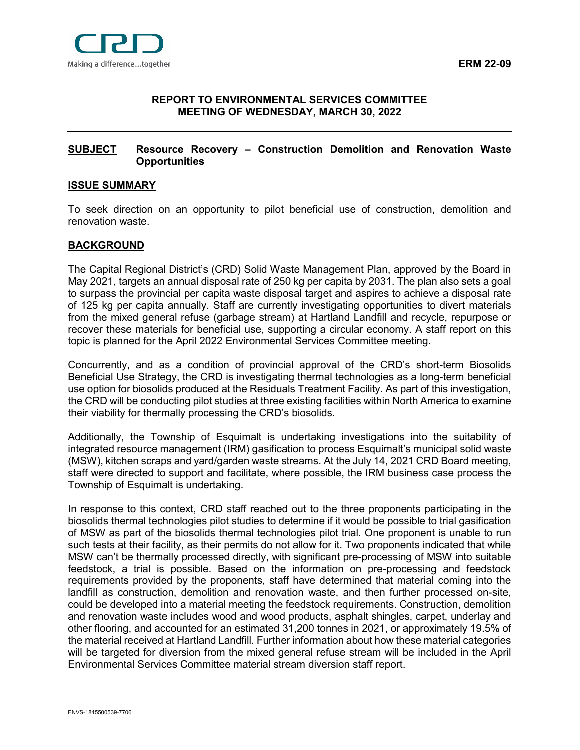

## <span id="page-2-0"></span>**[REPORT](#page-2-0) TO ENVIRONMENTAL SERVICES COMMITTEE MEETING OF WEDNESDAY, MARCH 30, 2022**

## <span id="page-2-1"></span>**[SUBJECT](#page-2-1) Resource Recovery – Construction Demolition and Renovation Waste Opportunities**

#### <span id="page-2-2"></span>**[ISSUE SUMMARY](#page-2-2)**

To seek direction on an opportunity to pilot beneficial use of construction, demolition and renovation waste.

#### <span id="page-2-3"></span>**[BACKGROUND](#page-2-3)**

The Capital Regional District's (CRD) Solid Waste Management Plan, approved by the Board in May 2021, targets an annual disposal rate of 250 kg per capita by 2031. The plan also sets a goal to surpass the provincial per capita waste disposal target and aspires to achieve a disposal rate of 125 kg per capita annually. Staff are currently investigating opportunities to divert materials from the mixed general refuse (garbage stream) at Hartland Landfill and recycle, repurpose or recover these materials for beneficial use, supporting a circular economy. A staff report on this topic is planned for the April 2022 Environmental Services Committee meeting.

Concurrently, and as a condition of provincial approval of the CRD's short-term Biosolids Beneficial Use Strategy, the CRD is investigating thermal technologies as a long-term beneficial use option for biosolids produced at the Residuals Treatment Facility. As part of this investigation, the CRD will be conducting pilot studies at three existing facilities within North America to examine their viability for thermally processing the CRD's biosolids.

Additionally, the Township of Esquimalt is undertaking investigations into the suitability of integrated resource management (IRM) gasification to process Esquimalt's municipal solid waste (MSW), kitchen scraps and yard/garden waste streams. At the July 14, 2021 CRD Board meeting, staff were directed to support and facilitate, where possible, the IRM business case process the Township of Esquimalt is undertaking.

In response to this context, CRD staff reached out to the three proponents participating in the biosolids thermal technologies pilot studies to determine if it would be possible to trial gasification of MSW as part of the biosolids thermal technologies pilot trial. One proponent is unable to run such tests at their facility, as their permits do not allow for it. Two proponents indicated that while MSW can't be thermally processed directly, with significant pre-processing of MSW into suitable feedstock, a trial is possible. Based on the information on pre-processing and feedstock requirements provided by the proponents, staff have determined that material coming into the landfill as construction, demolition and renovation waste, and then further processed on-site, could be developed into a material meeting the feedstock requirements. Construction, demolition and renovation waste includes wood and wood products, asphalt shingles, carpet, underlay and other flooring, and accounted for an estimated 31,200 tonnes in 2021, or approximately 19.5% of the material received at Hartland Landfill. Further information about how these material categories will be targeted for diversion from the mixed general refuse stream will be included in the April Environmental Services Committee material stream diversion staff report.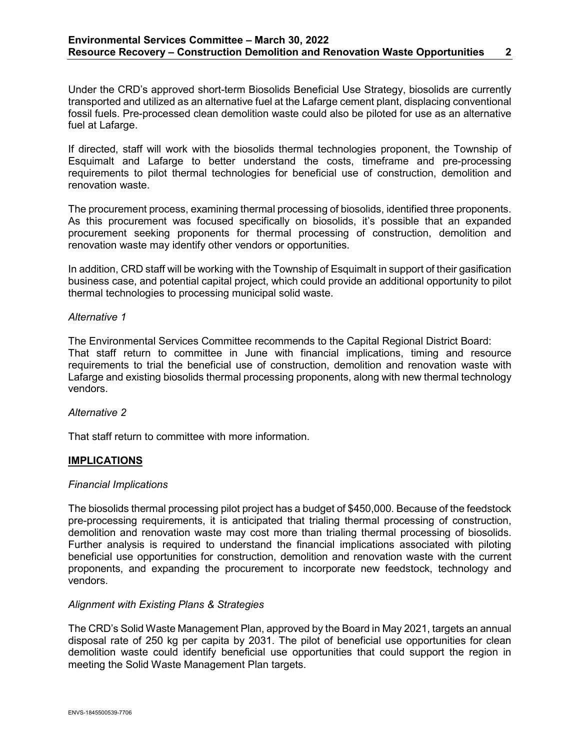Under the CRD's approved short-term Biosolids Beneficial Use Strategy, biosolids are currently transported and utilized as an alternative fuel at the Lafarge cement plant, displacing conventional fossil fuels. Pre-processed clean demolition waste could also be piloted for use as an alternative fuel at Lafarge.

If directed, staff will work with the biosolids thermal technologies proponent, the Township of Esquimalt and Lafarge to better understand the costs, timeframe and pre-processing requirements to pilot thermal technologies for beneficial use of construction, demolition and renovation waste.

The procurement process, examining thermal processing of biosolids, identified three proponents. As this procurement was focused specifically on biosolids, it's possible that an expanded procurement seeking proponents for thermal processing of construction, demolition and renovation waste may identify other vendors or opportunities.

In addition, CRD staff will be working with the Township of Esquimalt in support of their gasification business case, and potential capital project, which could provide an additional opportunity to pilot thermal technologies to processing municipal solid waste.

## *Alternative 1*

The Environmental Services Committee recommends to the Capital Regional District Board: That staff return to committee in June with financial implications, timing and resource requirements to trial the beneficial use of construction, demolition and renovation waste with Lafarge and existing biosolids thermal processing proponents, along with new thermal technology vendors.

## *Alternative 2*

That staff return to committee with more information.

# <span id="page-3-0"></span>**[IMPLICATIONS](#page-3-0)**

## *Financial Implications*

The biosolids thermal processing pilot project has a budget of \$450,000. Because of the feedstock pre-processing requirements, it is anticipated that trialing thermal processing of construction, demolition and renovation waste may cost more than trialing thermal processing of biosolids. Further analysis is required to understand the financial implications associated with piloting beneficial use opportunities for construction, demolition and renovation waste with the current proponents, and expanding the procurement to incorporate new feedstock, technology and vendors.

# *Alignment with Existing Plans & Strategies*

The CRD's Solid Waste Management Plan, approved by the Board in May 2021, targets an annual disposal rate of 250 kg per capita by 2031. The pilot of beneficial use opportunities for clean demolition waste could identify beneficial use opportunities that could support the region in meeting the Solid Waste Management Plan targets.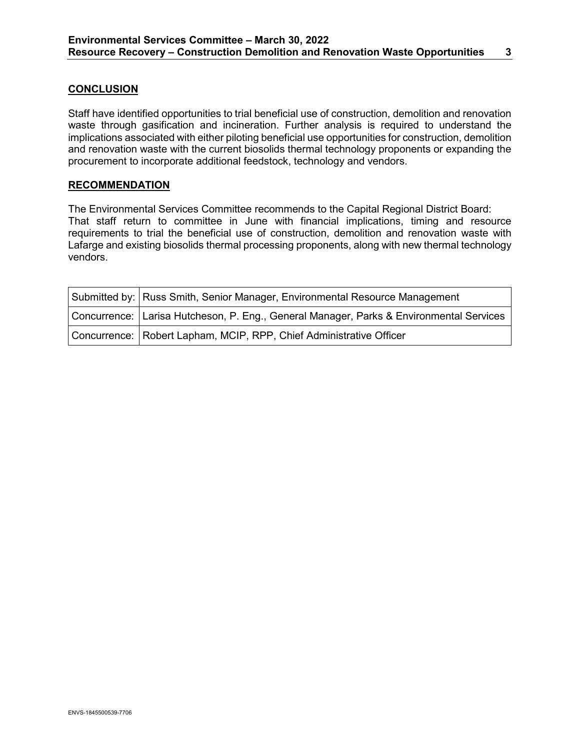## <span id="page-4-0"></span>**[CONCLUSION](#page-4-0)**

Staff have identified opportunities to trial beneficial use of construction, demolition and renovation waste through gasification and incineration. Further analysis is required to understand the implications associated with either piloting beneficial use opportunities for construction, demolition and renovation waste with the current biosolids thermal technology proponents or expanding the procurement to incorporate additional feedstock, technology and vendors.

#### **RECOMMENDATION**

The Environmental Services Committee recommends to the Capital Regional District Board: That staff return to committee in June with financial implications, timing and resource requirements to trial the beneficial use of construction, demolition and renovation waste with Lafarge and existing biosolids thermal processing proponents, along with new thermal technology vendors.

| Submitted by: Russ Smith, Senior Manager, Environmental Resource Management              |
|------------------------------------------------------------------------------------------|
| Concurrence:  Larisa Hutcheson, P. Eng., General Manager, Parks & Environmental Services |
| Concurrence: Robert Lapham, MCIP, RPP, Chief Administrative Officer                      |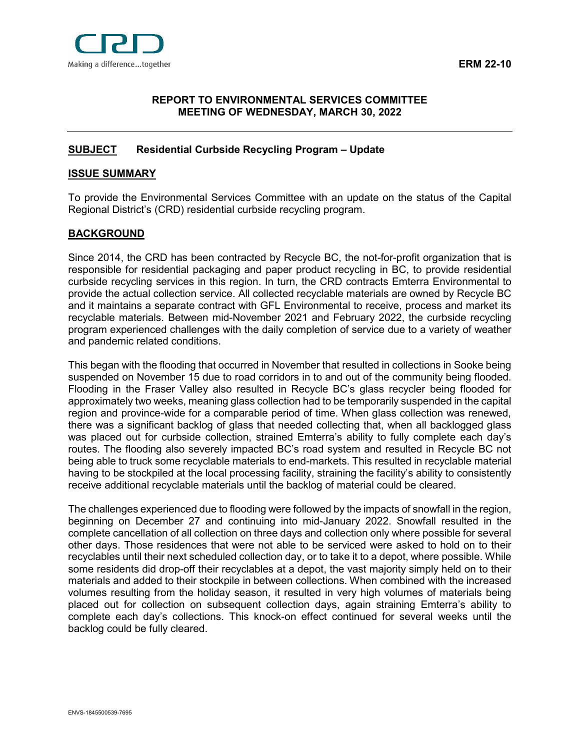

## <span id="page-5-0"></span>**[REPORT](#page-5-0) TO ENVIRONMENTAL SERVICES COMMITTEE MEETING OF WEDNESDAY, MARCH 30, 2022**

## <span id="page-5-1"></span>**[SUBJECT](#page-5-1) Residential Curbside Recycling Program – Update**

#### <span id="page-5-2"></span>**[ISSUE SUMMARY](#page-5-2)**

To provide the Environmental Services Committee with an update on the status of the Capital Regional District's (CRD) residential curbside recycling program.

# <span id="page-5-3"></span>**[BACKGROUND](#page-5-3)**

Since 2014, the CRD has been contracted by Recycle BC, the not-for-profit organization that is responsible for residential packaging and paper product recycling in BC, to provide residential curbside recycling services in this region. In turn, the CRD contracts Emterra Environmental to provide the actual collection service. All collected recyclable materials are owned by Recycle BC and it maintains a separate contract with GFL Environmental to receive, process and market its recyclable materials. Between mid-November 2021 and February 2022, the curbside recycling program experienced challenges with the daily completion of service due to a variety of weather and pandemic related conditions.

This began with the flooding that occurred in November that resulted in collections in Sooke being suspended on November 15 due to road corridors in to and out of the community being flooded. Flooding in the Fraser Valley also resulted in Recycle BC's glass recycler being flooded for approximately two weeks, meaning glass collection had to be temporarily suspended in the capital region and province-wide for a comparable period of time. When glass collection was renewed, there was a significant backlog of glass that needed collecting that, when all backlogged glass was placed out for curbside collection, strained Emterra's ability to fully complete each day's routes. The flooding also severely impacted BC's road system and resulted in Recycle BC not being able to truck some recyclable materials to end-markets. This resulted in recyclable material having to be stockpiled at the local processing facility, straining the facility's ability to consistently receive additional recyclable materials until the backlog of material could be cleared.

The challenges experienced due to flooding were followed by the impacts of snowfall in the region, beginning on December 27 and continuing into mid-January 2022. Snowfall resulted in the complete cancellation of all collection on three days and collection only where possible for several other days. Those residences that were not able to be serviced were asked to hold on to their recyclables until their next scheduled collection day, or to take it to a depot, where possible. While some residents did drop-off their recyclables at a depot, the vast majority simply held on to their materials and added to their stockpile in between collections. When combined with the increased volumes resulting from the holiday season, it resulted in very high volumes of materials being placed out for collection on subsequent collection days, again straining Emterra's ability to complete each day's collections. This knock-on effect continued for several weeks until the backlog could be fully cleared.